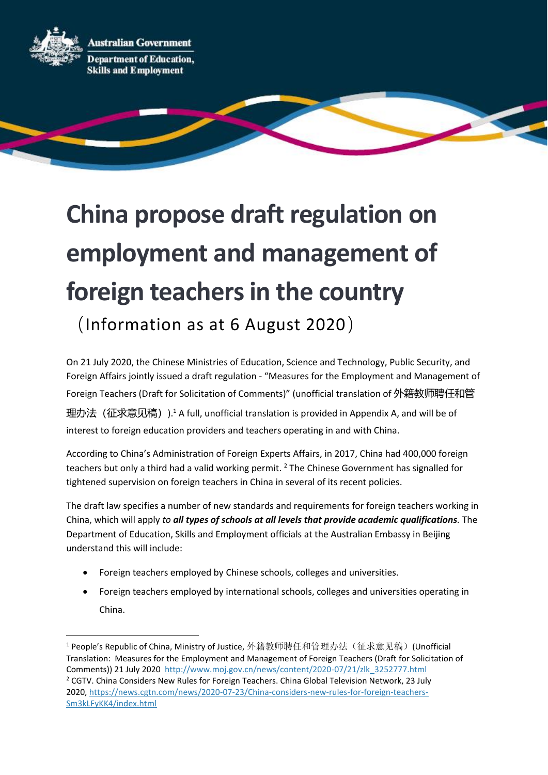**Australian Government** 



**Department of Education, Skills and Employment** 

# **China propose draft regulation on employment and management of foreign teachers in the country**

(Information as at 6 August 2020)

On 21 July 2020, the Chinese Ministries of Education, Science and Technology, Public Security, and Foreign Affairs jointly issued a draft regulation - "Measures for the Employment and Management of Foreign Teachers (Draft for Solicitation of Comments)" (unofficial translation of 外籍教师聘任和管

理办法 (征求意见稿)).<sup>1</sup> A full, unofficial translation is provided in Appendix A, and will be of interest to foreign education providers and teachers operating in and with China.

According to China's Administration of Foreign Experts Affairs, in 2017, China had 400,000 foreign teachers but only a third had a valid working permit.<sup>2</sup> The Chinese Government has signalled for tightened supervision on foreign teachers in China in several of its recent policies.

The draft law specifies a number of new standards and requirements for foreign teachers working in China, which will apply *to all types of schools at all levels that provide academic qualifications.* The Department of Education, Skills and Employment officials at the Australian Embassy in Beijing understand this will include:

- Foreign teachers employed by Chinese schools, colleges and universities.
- Foreign teachers employed by international schools, colleges and universities operating in China.

<sup>&</sup>lt;sup>1</sup> People's Republic of China, Ministry of Justice, 外籍教师聘任和管理办法(征求意见稿)(Unofficial Translation: Measures for the Employment and Management of Foreign Teachers (Draft for Solicitation of Comments)) 21 July 2020 [http://www.moj.gov.cn/news/content/2020-07/21/zlk\\_3252777.html](http://www.moj.gov.cn/news/content/2020-07/21/zlk_3252777.html) <sup>2</sup> CGTV. China Considers New Rules for Foreign Teachers. China Global Television Network, 23 July 2020, [https://news.cgtn.com/news/2020-07-23/China-considers-new-rules-for-foreign-teachers-](https://news.cgtn.com/news/2020-07-23/China-considers-new-rules-for-foreign-teachers-Sm3kLFyKK4/index.html)[Sm3kLFyKK4/index.html](https://news.cgtn.com/news/2020-07-23/China-considers-new-rules-for-foreign-teachers-Sm3kLFyKK4/index.html)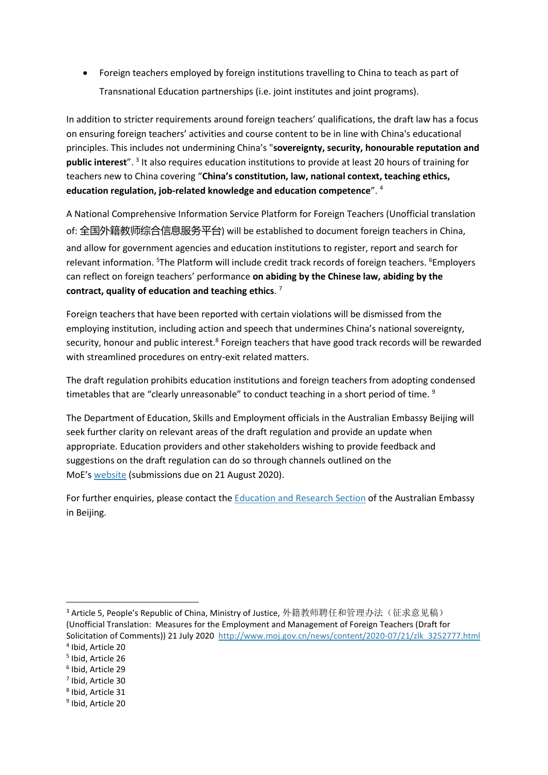• Foreign teachers employed by foreign institutions travelling to China to teach as part of Transnational Education partnerships (i.e. joint institutes and joint programs).

In addition to stricter requirements around foreign teachers' qualifications, the draft law has a focus on ensuring foreign teachers' activities and course content to be in line with China's educational principles. This includes not undermining China's "**sovereignty, security, honourable reputation and**  public interest".<sup>3</sup> It also requires education institutions to provide at least 20 hours of training for teachers new to China covering "**China's constitution, law, national context, teaching ethics, education regulation, job-related knowledge and education competence**". <sup>4</sup>

A National Comprehensive Information Service Platform for Foreign Teachers (Unofficial translation of: 全国外籍教师综合信息服务平台) will be established to document foreign teachers in China, and allow for government agencies and education institutions to register, report and search for relevant information. <sup>5</sup>The Platform will include credit track records of foreign teachers. <sup>6</sup>Employers can reflect on foreign teachers' performance **on abiding by the Chinese law, abiding by the contract, quality of education and teaching ethics**. 7

Foreign teachers that have been reported with certain violations will be dismissed from the employing institution, including action and speech that undermines China's national sovereignty, security, honour and public interest.<sup>8</sup> Foreign teachers that have good track records will be rewarded with streamlined procedures on entry-exit related matters.

The draft regulation prohibits education institutions and foreign teachers from adopting condensed timetables that are "clearly unreasonable" to conduct teaching in a short period of time. <sup>9</sup>

The Department of Education, Skills and Employment officials in the Australian Embassy Beijing will seek further clarity on relevant areas of the draft regulation and provide an update when appropriate. Education providers and other stakeholders wishing to provide feedback and suggestions on the draft regulation can do so through channels outlined on the MoE's [website](http://www.moe.gov.cn/jyb_xxgk/s5743/s5744/202007/t20200721_474014.html) (submissions due on 21 August 2020).

For further enquiries, please contact the [Education and Research Section](mailto:education.research@dfat.gov.au) of the Australian Embassy in Beijing.

<sup>&</sup>lt;sup>3</sup> Article 5, People's Republic of China, Ministry of Justice, 外籍教师聘任和管理办法(征求意见稿) (Unofficial Translation: Measures for the Employment and Management of Foreign Teachers (Draft for Solicitation of Comments)) 21 July 2020 [http://www.moj.gov.cn/news/content/2020-07/21/zlk\\_3252777.html](http://www.moj.gov.cn/news/content/2020-07/21/zlk_3252777.html)

<sup>4</sup> Ibid, Article 20

<sup>5</sup> Ibid, Article 26

<sup>6</sup> Ibid, Article 29

<sup>7</sup> Ibid, Article 30

<sup>8</sup> Ibid, Article 31

<sup>9</sup> Ibid, Article 20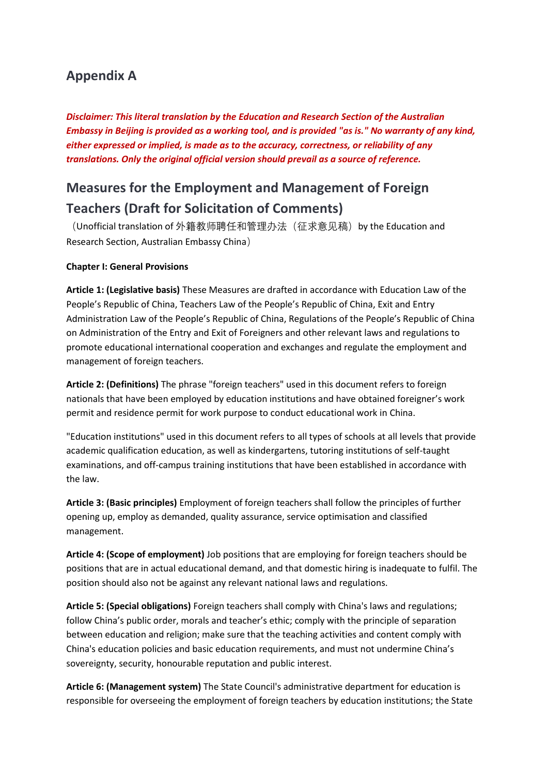### **Appendix A**

*Disclaimer: This literal translation by the Education and Research Section of the Australian Embassy in Beijing is provided as a working tool, and is provided "as is." No warranty of any kind, either expressed or implied, is made as to the accuracy, correctness, or reliability of any translations. Only the original official version should prevail as a source of reference.*

## **Measures for the Employment and Management of Foreign Teachers (Draft for Solicitation of Comments)**

(Unofficial translation of 外籍教师聘任和管理办法(征求意见稿) by the Education and Research Section, Australian Embassy China)

#### **Chapter I: General Provisions**

**Article 1: (Legislative basis)** These Measures are drafted in accordance with Education Law of the People's Republic of China, Teachers Law of the People's Republic of China, Exit and Entry Administration Law of the People's Republic of China, Regulations of the People's Republic of China on Administration of the Entry and Exit of Foreigners and other relevant laws and regulations to promote educational international cooperation and exchanges and regulate the employment and management of foreign teachers.

**Article 2: (Definitions)** The phrase "foreign teachers" used in this document refers to foreign nationals that have been employed by education institutions and have obtained foreigner's work permit and residence permit for work purpose to conduct educational work in China.

"Education institutions" used in this document refers to all types of schools at all levels that provide academic qualification education, as well as kindergartens, tutoring institutions of self-taught examinations, and off-campus training institutions that have been established in accordance with the law.

**Article 3: (Basic principles)** Employment of foreign teachers shall follow the principles of further opening up, employ as demanded, quality assurance, service optimisation and classified management.

**Article 4: (Scope of employment)** Job positions that are employing for foreign teachers should be positions that are in actual educational demand, and that domestic hiring is inadequate to fulfil. The position should also not be against any relevant national laws and regulations.

**Article 5: (Special obligations)** Foreign teachers shall comply with China's laws and regulations; follow China's public order, morals and teacher's ethic; comply with the principle of separation between education and religion; make sure that the teaching activities and content comply with China's education policies and basic education requirements, and must not undermine China's sovereignty, security, honourable reputation and public interest.

**Article 6: (Management system)** The State Council's administrative department for education is responsible for overseeing the employment of foreign teachers by education institutions; the State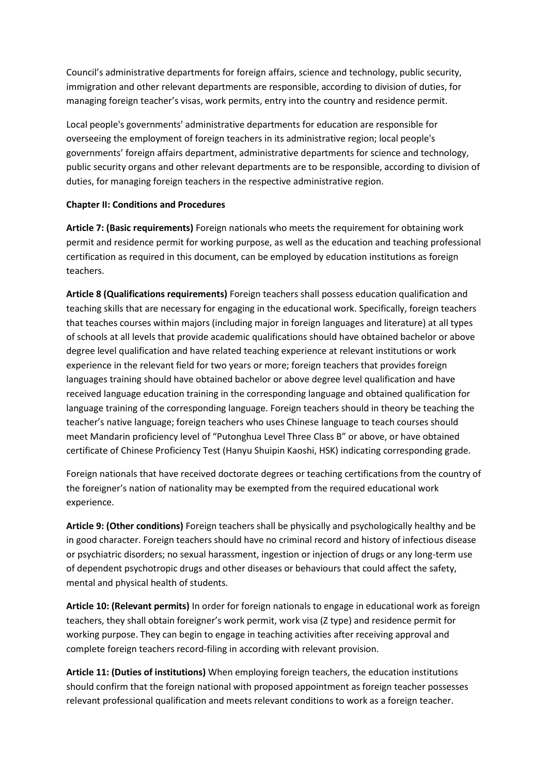Council's administrative departments for foreign affairs, science and technology, public security, immigration and other relevant departments are responsible, according to division of duties, for managing foreign teacher's visas, work permits, entry into the country and residence permit.

Local people's governments' administrative departments for education are responsible for overseeing the employment of foreign teachers in its administrative region; local people's governments' foreign affairs department, administrative departments for science and technology, public security organs and other relevant departments are to be responsible, according to division of duties, for managing foreign teachers in the respective administrative region.

#### **Chapter II: Conditions and Procedures**

**Article 7: (Basic requirements)** Foreign nationals who meets the requirement for obtaining work permit and residence permit for working purpose, as well as the education and teaching professional certification as required in this document, can be employed by education institutions as foreign teachers.

**Article 8 (Qualifications requirements)** Foreign teachers shall possess education qualification and teaching skills that are necessary for engaging in the educational work. Specifically, foreign teachers that teaches courses within majors (including major in foreign languages and literature) at all types of schools at all levels that provide academic qualifications should have obtained bachelor or above degree level qualification and have related teaching experience at relevant institutions or work experience in the relevant field for two years or more; foreign teachers that provides foreign languages training should have obtained bachelor or above degree level qualification and have received language education training in the corresponding language and obtained qualification for language training of the corresponding language. Foreign teachers should in theory be teaching the teacher's native language; foreign teachers who uses Chinese language to teach courses should meet Mandarin proficiency level of "Putonghua Level Three Class B" or above, or have obtained certificate of Chinese Proficiency Test (Hanyu Shuipin Kaoshi, HSK) indicating corresponding grade.

Foreign nationals that have received doctorate degrees or teaching certifications from the country of the foreigner's nation of nationality may be exempted from the required educational work experience.

**Article 9: (Other conditions)** Foreign teachers shall be physically and psychologically healthy and be in good character. Foreign teachers should have no criminal record and history of infectious disease or psychiatric disorders; no sexual harassment, ingestion or injection of drugs or any long-term use of dependent psychotropic drugs and other diseases or behaviours that could affect the safety, mental and physical health of students.

**Article 10: (Relevant permits)** In order for foreign nationals to engage in educational work as foreign teachers, they shall obtain foreigner's work permit, work visa (Z type) and residence permit for working purpose. They can begin to engage in teaching activities after receiving approval and complete foreign teachers record-filing in according with relevant provision.

**Article 11: (Duties of institutions)** When employing foreign teachers, the education institutions should confirm that the foreign national with proposed appointment as foreign teacher possesses relevant professional qualification and meets relevant conditions to work as a foreign teacher.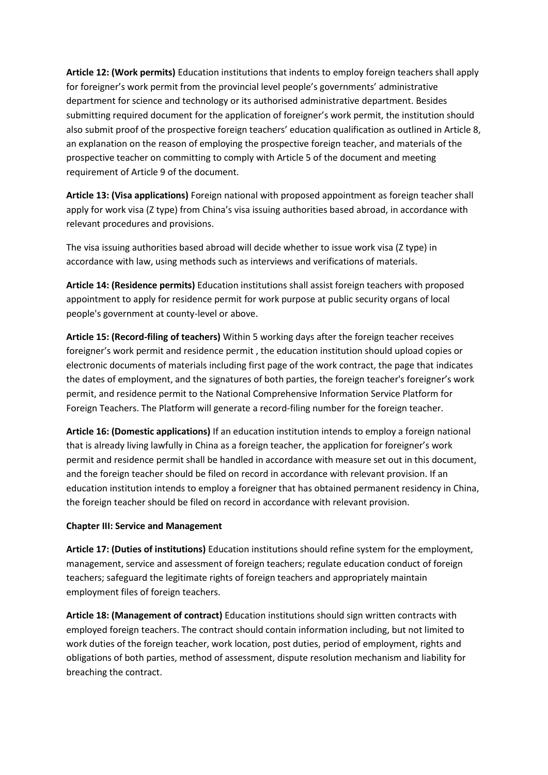**Article 12: (Work permits)** Education institutions that indents to employ foreign teachers shall apply for foreigner's work permit from the provincial level people's governments' administrative department for science and technology or its authorised administrative department. Besides submitting required document for the application of foreigner's work permit, the institution should also submit proof of the prospective foreign teachers' education qualification as outlined in Article 8, an explanation on the reason of employing the prospective foreign teacher, and materials of the prospective teacher on committing to comply with Article 5 of the document and meeting requirement of Article 9 of the document.

**Article 13: (Visa applications)** Foreign national with proposed appointment as foreign teacher shall apply for work visa (Z type) from China's visa issuing authorities based abroad, in accordance with relevant procedures and provisions.

The visa issuing authorities based abroad will decide whether to issue work visa (Z type) in accordance with law, using methods such as interviews and verifications of materials.

**Article 14: (Residence permits)** Education institutions shall assist foreign teachers with proposed appointment to apply for residence permit for work purpose at public security organs of local people's government at county-level or above.

**Article 15: (Record-filing of teachers)** Within 5 working days after the foreign teacher receives foreigner's work permit and residence permit , the education institution should upload copies or electronic documents of materials including first page of the work contract, the page that indicates the dates of employment, and the signatures of both parties, the foreign teacher's foreigner's work permit, and residence permit to the National Comprehensive Information Service Platform for Foreign Teachers. The Platform will generate a record-filing number for the foreign teacher.

**Article 16: (Domestic applications)** If an education institution intends to employ a foreign national that is already living lawfully in China as a foreign teacher, the application for foreigner's work permit and residence permit shall be handled in accordance with measure set out in this document, and the foreign teacher should be filed on record in accordance with relevant provision. If an education institution intends to employ a foreigner that has obtained permanent residency in China, the foreign teacher should be filed on record in accordance with relevant provision.

#### **Chapter III: Service and Management**

**Article 17: (Duties of institutions)** Education institutions should refine system for the employment, management, service and assessment of foreign teachers; regulate education conduct of foreign teachers; safeguard the legitimate rights of foreign teachers and appropriately maintain employment files of foreign teachers.

**Article 18: (Management of contract)** Education institutions should sign written contracts with employed foreign teachers. The contract should contain information including, but not limited to work duties of the foreign teacher, work location, post duties, period of employment, rights and obligations of both parties, method of assessment, dispute resolution mechanism and liability for breaching the contract.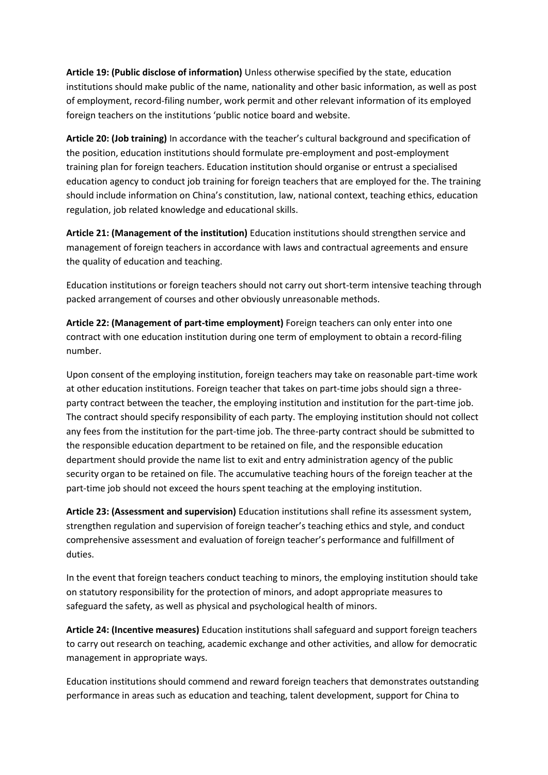**Article 19: (Public disclose of information)** Unless otherwise specified by the state, education institutions should make public of the name, nationality and other basic information, as well as post of employment, record-filing number, work permit and other relevant information of its employed foreign teachers on the institutions 'public notice board and website.

**Article 20: (Job training)** In accordance with the teacher's cultural background and specification of the position, education institutions should formulate pre-employment and post-employment training plan for foreign teachers. Education institution should organise or entrust a specialised education agency to conduct job training for foreign teachers that are employed for the. The training should include information on China's constitution, law, national context, teaching ethics, education regulation, job related knowledge and educational skills.

**Article 21: (Management of the institution)** Education institutions should strengthen service and management of foreign teachers in accordance with laws and contractual agreements and ensure the quality of education and teaching.

Education institutions or foreign teachers should not carry out short-term intensive teaching through packed arrangement of courses and other obviously unreasonable methods.

**Article 22: (Management of part-time employment)** Foreign teachers can only enter into one contract with one education institution during one term of employment to obtain a record-filing number.

Upon consent of the employing institution, foreign teachers may take on reasonable part-time work at other education institutions. Foreign teacher that takes on part-time jobs should sign a threeparty contract between the teacher, the employing institution and institution for the part-time job. The contract should specify responsibility of each party. The employing institution should not collect any fees from the institution for the part-time job. The three-party contract should be submitted to the responsible education department to be retained on file, and the responsible education department should provide the name list to exit and entry administration agency of the public security organ to be retained on file. The accumulative teaching hours of the foreign teacher at the part-time job should not exceed the hours spent teaching at the employing institution.

**Article 23: (Assessment and supervision)** Education institutions shall refine its assessment system, strengthen regulation and supervision of foreign teacher's teaching ethics and style, and conduct comprehensive assessment and evaluation of foreign teacher's performance and fulfillment of duties.

In the event that foreign teachers conduct teaching to minors, the employing institution should take on statutory responsibility for the protection of minors, and adopt appropriate measures to safeguard the safety, as well as physical and psychological health of minors.

**Article 24: (Incentive measures)** Education institutions shall safeguard and support foreign teachers to carry out research on teaching, academic exchange and other activities, and allow for democratic management in appropriate ways.

Education institutions should commend and reward foreign teachers that demonstrates outstanding performance in areas such as education and teaching, talent development, support for China to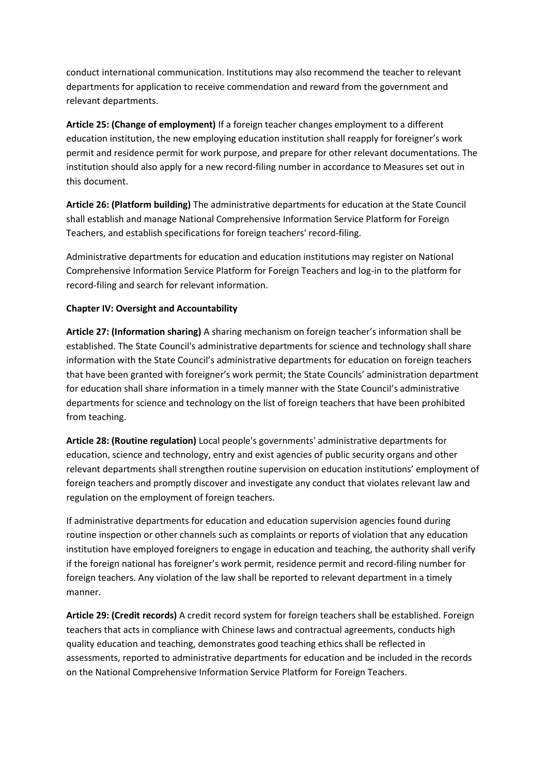conduct international communication. Institutions may also recommend the teacher to relevant departments for application to receive commendation and reward from the government and relevant departments.

**Article 25: (Change of employment)** If a foreign teacher changes employment to a different education institution, the new employing education institution shall reapply for foreigner's work permit and residence permit for work purpose, and prepare for other relevant documentations. The institution should also apply for a new record-filing number in accordance to Measures set out in this document.

**Article 26: (Platform building)** The administrative departments for education at the State Council shall establish and manage National Comprehensive Information Service Platform for Foreign Teachers, and establish specifications for foreign teachers' record-filing.

Administrative departments for education and education institutions may register on National Comprehensive Information Service Platform for Foreign Teachers and log-in to the platform for record-filing and search for relevant information.

#### **Chapter IV: Oversight and Accountability**

**Article 27: (Information sharing)** A sharing mechanism on foreign teacher's information shall be established. The State Council's administrative departments for science and technology shall share information with the State Council's administrative departments for education on foreign teachers that have been granted with foreigner's work permit; the State Councils' administration department for education shall share information in a timely manner with the State Council's administrative departments for science and technology on the list of foreign teachers that have been prohibited from teaching.

**Article 28: (Routine regulation)** Local people's governments' administrative departments for education, science and technology, entry and exist agencies of public security organs and other relevant departments shall strengthen routine supervision on education institutions' employment of foreign teachers and promptly discover and investigate any conduct that violates relevant law and regulation on the employment of foreign teachers.

If administrative departments for education and education supervision agencies found during routine inspection or other channels such as complaints or reports of violation that any education institution have employed foreigners to engage in education and teaching, the authority shall verify if the foreign national has foreigner's work permit, residence permit and record-filing number for foreign teachers. Any violation of the law shall be reported to relevant department in a timely manner.

**Article 29: (Credit records)** A credit record system for foreign teachers shall be established. Foreign teachers that acts in compliance with Chinese laws and contractual agreements, conducts high quality education and teaching, demonstrates good teaching ethics shall be reflected in assessments, reported to administrative departments for education and be included in the records on the National Comprehensive Information Service Platform for Foreign Teachers.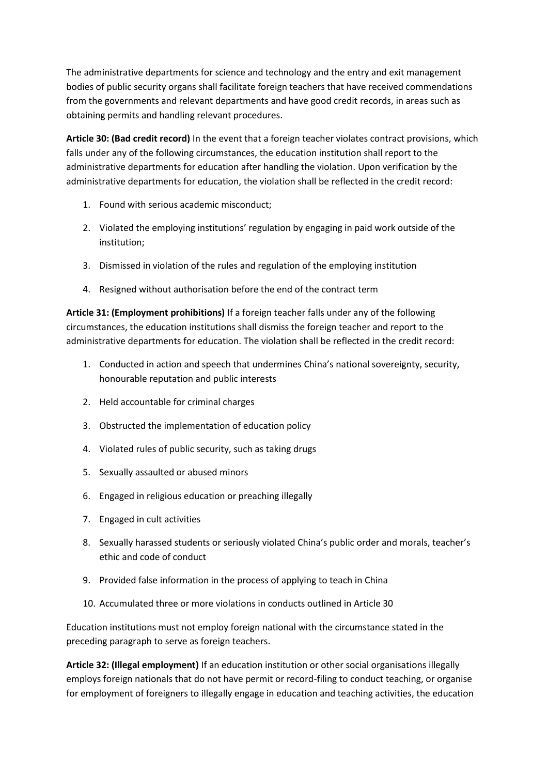The administrative departments for science and technology and the entry and exit management bodies of public security organs shall facilitate foreign teachers that have received commendations from the governments and relevant departments and have good credit records, in areas such as obtaining permits and handling relevant procedures.

**Article 30: (Bad credit record)** In the event that a foreign teacher violates contract provisions, which falls under any of the following circumstances, the education institution shall report to the administrative departments for education after handling the violation. Upon verification by the administrative departments for education, the violation shall be reflected in the credit record:

- 1. Found with serious academic misconduct;
- 2. Violated the employing institutions' regulation by engaging in paid work outside of the institution;
- 3. Dismissed in violation of the rules and regulation of the employing institution
- 4. Resigned without authorisation before the end of the contract term

**Article 31: (Employment prohibitions)** If a foreign teacher falls under any of the following circumstances, the education institutions shall dismiss the foreign teacher and report to the administrative departments for education. The violation shall be reflected in the credit record:

- 1. Conducted in action and speech that undermines China's national sovereignty, security, honourable reputation and public interests
- 2. Held accountable for criminal charges
- 3. Obstructed the implementation of education policy
- 4. Violated rules of public security, such as taking drugs
- 5. Sexually assaulted or abused minors
- 6. Engaged in religious education or preaching illegally
- 7. Engaged in cult activities
- 8. Sexually harassed students or seriously violated China's public order and morals, teacher's ethic and code of conduct
- 9. Provided false information in the process of applying to teach in China
- 10. Accumulated three or more violations in conducts outlined in Article 30

Education institutions must not employ foreign national with the circumstance stated in the preceding paragraph to serve as foreign teachers.

**Article 32: (Illegal employment)** If an education institution or other social organisations illegally employs foreign nationals that do not have permit or record-filing to conduct teaching, or organise for employment of foreigners to illegally engage in education and teaching activities, the education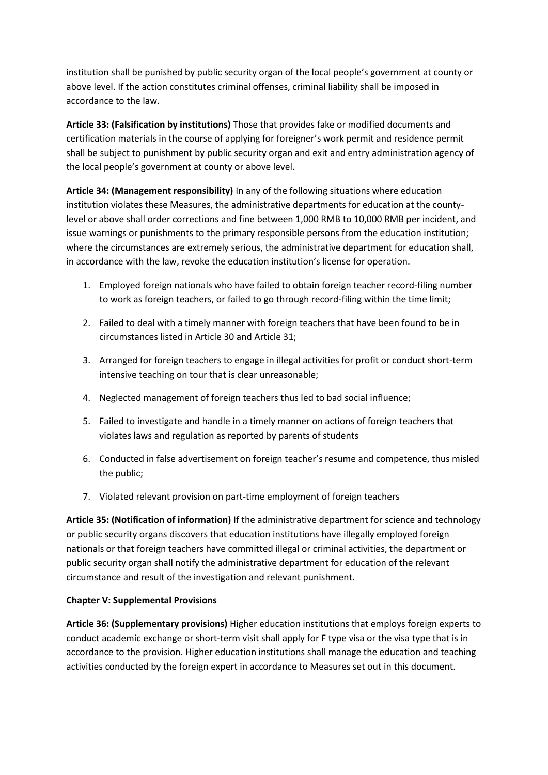institution shall be punished by public security organ of the local people's government at county or above level. If the action constitutes criminal offenses, criminal liability shall be imposed in accordance to the law.

**Article 33: (Falsification by institutions)** Those that provides fake or modified documents and certification materials in the course of applying for foreigner's work permit and residence permit shall be subject to punishment by public security organ and exit and entry administration agency of the local people's government at county or above level.

**Article 34: (Management responsibility)** In any of the following situations where education institution violates these Measures, the administrative departments for education at the countylevel or above shall order corrections and fine between 1,000 RMB to 10,000 RMB per incident, and issue warnings or punishments to the primary responsible persons from the education institution; where the circumstances are extremely serious, the administrative department for education shall, in accordance with the law, revoke the education institution's license for operation.

- 1. Employed foreign nationals who have failed to obtain foreign teacher record-filing number to work as foreign teachers, or failed to go through record-filing within the time limit;
- 2. Failed to deal with a timely manner with foreign teachers that have been found to be in circumstances listed in Article 30 and Article 31;
- 3. Arranged for foreign teachers to engage in illegal activities for profit or conduct short-term intensive teaching on tour that is clear unreasonable;
- 4. Neglected management of foreign teachers thus led to bad social influence;
- 5. Failed to investigate and handle in a timely manner on actions of foreign teachers that violates laws and regulation as reported by parents of students
- 6. Conducted in false advertisement on foreign teacher's resume and competence, thus misled the public;
- 7. Violated relevant provision on part-time employment of foreign teachers

**Article 35: (Notification of information)** If the administrative department for science and technology or public security organs discovers that education institutions have illegally employed foreign nationals or that foreign teachers have committed illegal or criminal activities, the department or public security organ shall notify the administrative department for education of the relevant circumstance and result of the investigation and relevant punishment.

#### **Chapter V: Supplemental Provisions**

**Article 36: (Supplementary provisions)** Higher education institutions that employs foreign experts to conduct academic exchange or short-term visit shall apply for F type visa or the visa type that is in accordance to the provision. Higher education institutions shall manage the education and teaching activities conducted by the foreign expert in accordance to Measures set out in this document.